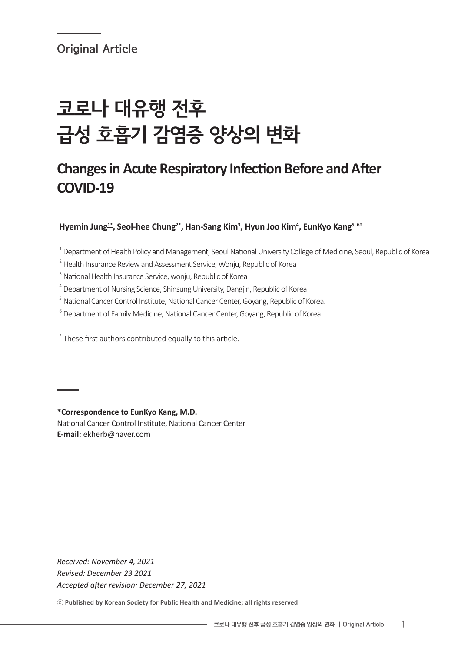# 코로나 대유행 전후 급성 호흡기 감염증 양상의 변화

# **Changes in Acute Respiratory Infection Before and After COVID-19**

Hyemin Jung<sup>1\*</sup>, Seol-hee Chung<sup>2\*</sup>, Han-Sang Kim<sup>3</sup>, Hyun Joo Kim<sup>4</sup>, EunKyo Kang<sup>5, 6†</sup>

 $^{\rm 1}$  Department of Health Policy and Management, Seoul National University College of Medicine, Seoul, Republic of Korea

- $2$  Health Insurance Review and Assessment Service, Wonju, Republic of Korea
- <sup>3</sup> National Health Insurance Service, wonju, Republic of Korea
- <sup>4</sup> Department of Nursing Science, Shinsung University, Dangjin, Republic of Korea
- <sup>5</sup> National Cancer Control Institute, National Cancer Center, Goyang, Republic of Korea.
- <sup>6</sup> Department of Family Medicine, National Cancer Center, Goyang, Republic of Korea

\* These first authors contributed equally to this article.

**\*Correspondence to EunKyo Kang, M.D.** National Cancer Control Institute, National Cancer Center **E-mail:** ekherb@naver.com

*Received: November 4, 2021 Revised: December 23 2021 Accepted after revision: December 27, 2021*

ⓒ **Published by Korean Society for Public Health and Medicine; all rights reserved**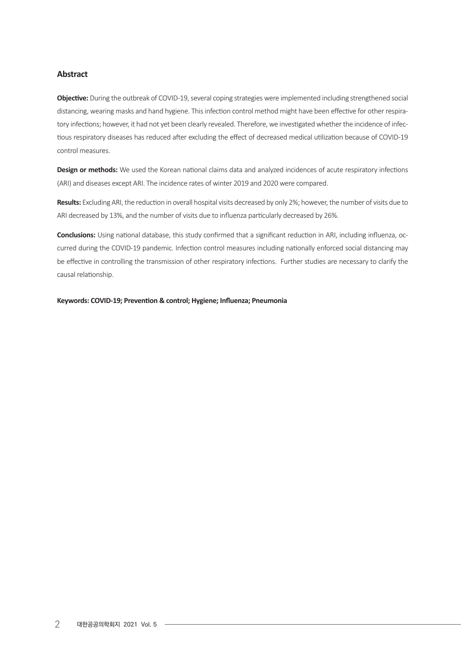#### **Abstract**

**Objective:** During the outbreak of COVID-19, several coping strategies were implemented including strengthened social distancing, wearing masks and hand hygiene. This infection control method might have been effective for other respiratory infections; however, it had not yet been clearly revealed. Therefore, we investigated whether the incidence of infectious respiratory diseases has reduced after excluding the effect of decreased medical utilization because of COVID-19 control measures.

**Design or methods:** We used the Korean national claims data and analyzed incidences of acute respiratory infections (ARI) and diseases except ARI. The incidence rates of winter 2019 and 2020 were compared.

Results: Excluding ARI, the reduction in overall hospital visits decreased by only 2%; however, the number of visits due to ARI decreased by 13%, and the number of visits due to influenza particularly decreased by 26%.

**Conclusions:** Using national database, this study confirmed that a significant reduction in ARI, including influenza, occurred during the COVID-19 pandemic. Infection control measures including nationally enforced social distancing may be effective in controlling the transmission of other respiratory infections. Further studies are necessary to clarify the causal relationship.

**Keywords: COVID-19; Prevention & control; Hygiene; Influenza; Pneumonia**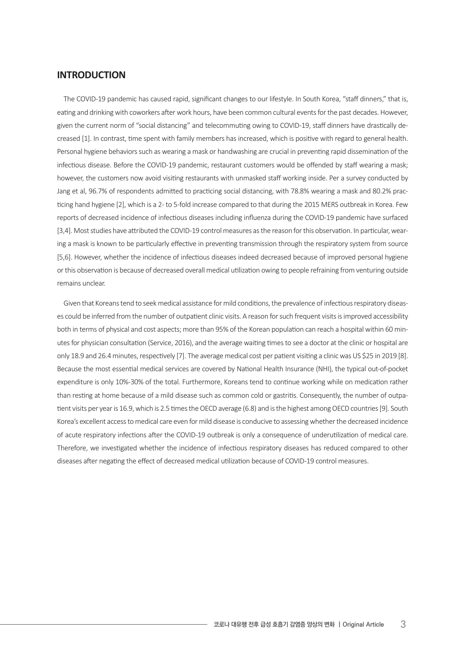#### **INTRODUCTION**

The COVID-19 pandemic has caused rapid, significant changes to our lifestyle. In South Korea, "staff dinners," that is, eating and drinking with coworkers after work hours, have been common cultural events for the past decades. However, given the current norm of "social distancing" and telecommuting owing to COVID-19, staff dinners have drastically decreased [1]. In contrast, time spent with family members has increased, which is positive with regard to general health. Personal hygiene behaviors such as wearing a mask or handwashing are crucial in preventing rapid dissemination of the infectious disease. Before the COVID-19 pandemic, restaurant customers would be offended by staff wearing a mask; however, the customers now avoid visiting restaurants with unmasked staff working inside. Per a survey conducted by Jang et al, 96.7% of respondents admitted to practicing social distancing, with 78.8% wearing a mask and 80.2% practicing hand hygiene [2], which is a 2- to 5-fold increase compared to that during the 2015 MERS outbreak in Korea. Few reports of decreased incidence of infectious diseases including influenza during the COVID-19 pandemic have surfaced [3,4]. Most studies have attributed the COVID-19 control measures as the reason for this observation. In particular, wearing a mask is known to be particularly effective in preventing transmission through the respiratory system from source [5,6]. However, whether the incidence of infectious diseases indeed decreased because of improved personal hygiene orthis observation is because of decreased overall medical utilization owing to people refraining from venturing outside remains unclear.

Given that Koreans tend to seek medical assistance for mild conditions, the prevalence of infectious respiratory diseases could be inferred from the number of outpatient clinic visits. A reason for such frequent visits is improved accessibility both in terms of physical and cost aspects; more than 95% of the Korean population can reach a hospital within 60 minutes for physician consultation (Service, 2016), and the average waiting times to see a doctor at the clinic or hospital are only 18.9 and 26.4 minutes, respectively [7]. The average medical cost per patient visiting a clinic was US \$25 in 2019 [8]. Because the most essential medical services are covered by National Health Insurance (NHI), the typical out-of-pocket expenditure is only 10%-30% of the total. Furthermore, Koreans tend to continue working while on medication rather than resting at home because of a mild disease such as common cold or gastritis. Consequently, the number of outpatient visits per year is 16.9, which is 2.5 times the OECD average (6.8) and is the highest among OECD countries [9]. South Korea's excellent access to medical care even for mild disease is conducive to assessing whether the decreased incidence of acute respiratory infections after the COVID-19 outbreak is only a consequence of underutilization of medical care. Therefore, we investigated whether the incidence of infectious respiratory diseases has reduced compared to other diseases after negating the effect of decreased medical utilization because of COVID-19 control measures.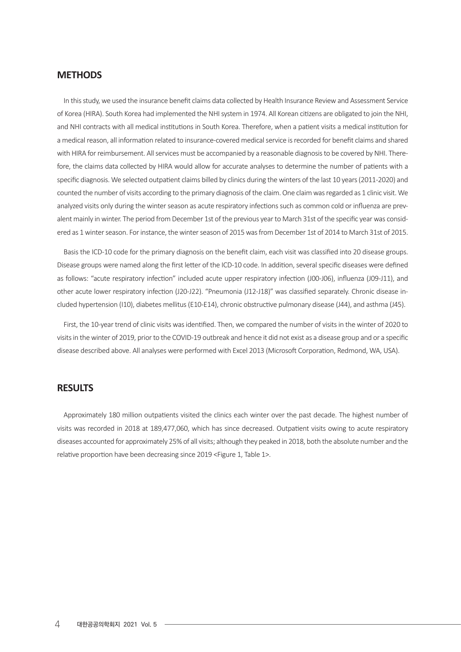#### **METHODS**

In this study, we used the insurance benefit claims data collected by Health Insurance Review and Assessment Service of Korea (HIRA). South Korea had implemented the NHIsystem in 1974. All Korean citizens are obligated to join the NHI, and NHI contracts with all medical institutions in South Korea. Therefore, when a patient visits a medical institution for a medical reason, all information related to insurance-covered medical service is recorded for benefit claims and shared with HIRA for reimbursement. All services must be accompanied by a reasonable diagnosis to be covered by NHI. Therefore, the claims data collected by HIRA would allow for accurate analyses to determine the number of patients with a specific diagnosis. We selected outpatient claims billed by clinics during thewinters of the last 10 years(2011-2020) and counted the number of visits according to the primary diagnosis of the claim. One claim was regarded as 1 clinic visit. We analyzed visits only during the winter season as acute respiratory infections such as common cold or influenza are prevalent mainly in winter. The period from December 1st of the previous year to March 31st of the specific year was considered as 1 winter season. For instance, the winter season of 2015 was from December 1st of 2014 to March 31st of 2015.

Basis the ICD-10 code for the primary diagnosis on the benefit claim, each visit was classified into 20 disease groups. Disease groups were named along the first letter of the ICD-10 code. In addition, several specific diseases were defined as follows: "acute respiratory infection" included acute upper respiratory infection (J00-J06), influenza (J09-J11), and other acute lower respiratory infection (J20-J22). "Pneumonia (J12-J18)" was classified separately. Chronic disease included hypertension (I10), diabetes mellitus(E10-E14), chronic obstructive pulmonary disease (J44), and asthma (J45).

First, the 10-year trend of clinic visits was identified. Then, we compared the number of visits in the winter of 2020 to visits in the winter of 2019, prior to the COVID-19 outbreak and hence it did not exist as a disease group and or a specific disease described above. All analyses were performed with Excel 2013 (Microsoft Corporation, Redmond, WA, USA).

#### **RESULTS**

Approximately 180 million outpatients visited the clinics each winter over the past decade. The highest number of visits was recorded in 2018 at 189,477,060, which has since decreased. Outpatient visits owing to acute respiratory diseases accounted for approximately 25% of all visits; although they peaked in 2018, both the absolute number and the relative proportion have been decreasing since 2019 <Figure 1, Table 1>.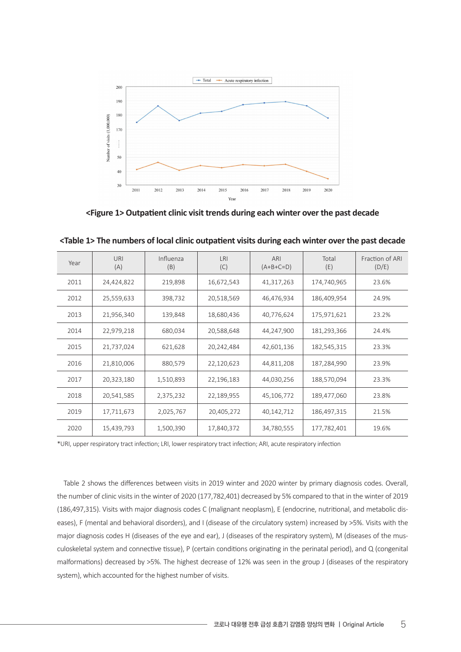

**<Figure 1> Outpatient clinic visit trends during each winter over the past decade**

| Year | URI<br>(A) | Influenza<br>(B) | <b>LRI</b><br>(C) | ARI<br>$(A+B+C=D)$ | Total<br>(E) | Fraction of ARI<br>(D/E) |
|------|------------|------------------|-------------------|--------------------|--------------|--------------------------|
| 2011 | 24,424,822 | 219,898          | 16,672,543        | 41,317,263         | 174,740,965  | 23.6%                    |
| 2012 | 25,559,633 | 398,732          | 20,518,569        | 46,476,934         | 186,409,954  | 24.9%                    |
| 2013 | 21,956,340 | 139,848          | 18,680,436        | 40,776,624         | 175,971,621  | 23.2%                    |
| 2014 | 22,979,218 | 680,034          | 20,588,648        | 44,247,900         | 181,293,366  | 24.4%                    |
| 2015 | 21,737,024 | 621,628          | 20,242,484        | 42,601,136         | 182,545,315  | 23.3%                    |
| 2016 | 21,810,006 | 880,579          | 22,120,623        | 44,811,208         | 187,284,990  | 23.9%                    |
| 2017 | 20,323,180 | 1,510,893        | 22,196,183        | 44,030,256         | 188,570,094  | 23.3%                    |
| 2018 | 20,541,585 | 2,375,232        | 22,189,955        | 45,106,772         | 189,477,060  | 23.8%                    |
| 2019 | 17,711,673 | 2,025,767        | 20,405,272        | 40,142,712         | 186,497,315  | 21.5%                    |
| 2020 | 15,439,793 | 1,500,390        | 17,840,372        | 34,780,555         | 177,782,401  | 19.6%                    |

**<Table 1> The numbers of local clinic outpatient visits during each winter over the past decade**

\*URI, upper respiratory tract infection; LRI, lower respiratory tract infection; ARI, acute respiratory infection

Table 2 shows the differences between visits in 2019 winter and 2020 winter by primary diagnosis codes. Overall, the number of clinic visits in the winter of 2020 (177,782,401) decreased by 5% compared to that in the winter of 2019 (186,497,315). Visits with major diagnosis codes C (malignant neoplasm), E (endocrine, nutritional, and metabolic diseases), F (mental and behavioral disorders), and I (disease of the circulatory system) increased by >5%. Visits with the major diagnosis codes H (diseases of the eye and ear), J (diseases of the respiratory system), M (diseases of the musculoskeletal system and connective tissue), P (certain conditions originating in the perinatal period), and Q (congenital malformations) decreased by >5%. The highest decrease of 12% was seen in the group J (diseases of the respiratory system), which accounted for the highest number of visits.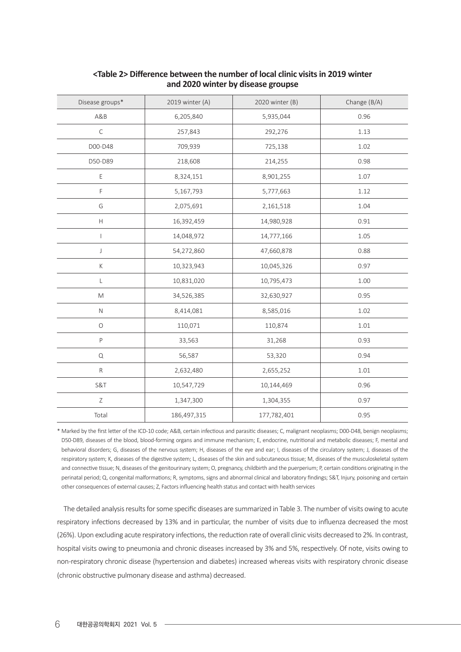| Disease groups*                                                                                            | 2019 winter (A) | 2020 winter (B) | Change (B/A) |
|------------------------------------------------------------------------------------------------------------|-----------------|-----------------|--------------|
| A&B                                                                                                        | 6,205,840       | 5,935,044       | 0.96         |
| $\mathsf C$                                                                                                | 257,843         | 292,276         | 1.13         |
| D00-D48                                                                                                    | 709,939         | 725,138         | 1.02         |
| D50-D89                                                                                                    | 218,608         | 214,255         | 0.98         |
| E                                                                                                          | 8,324,151       | 8,901,255       | 1.07         |
| F                                                                                                          | 5,167,793       | 5,777,663       | 1.12         |
| G                                                                                                          | 2,075,691       | 2,161,518       | 1.04         |
| $\boldsymbol{\mathsf{H}}$                                                                                  | 16,392,459      | 14,980,928      | 0.91         |
| $\overline{1}$                                                                                             | 14,048,972      | 14,777,166      | 1.05         |
| $\mathsf J$                                                                                                | 54,272,860      | 47,660,878      | 0.88         |
| К                                                                                                          | 10,323,943      | 10,045,326      | 0.97         |
| L                                                                                                          | 10,831,020      | 10,795,473      | 1.00         |
| $\mathsf{M}% _{T}=\mathsf{M}_{T}\!\left( a,b\right) ,\ \mathsf{M}_{T}=\mathsf{M}_{T}\!\left( a,b\right) ,$ | 34,526,385      | 32,630,927      | 0.95         |
| $\mathsf{N}$                                                                                               | 8,414,081       | 8,585,016       | 1.02         |
| $\bigcirc$                                                                                                 | 110,071         | 110,874         | 1.01         |
| $\mathsf P$                                                                                                | 33,563          | 31,268          | 0.93         |
| ${\mathsf Q}$                                                                                              | 56,587          | 53,320          | 0.94         |
| ${\sf R}$                                                                                                  | 2,632,480       | 2,655,252       | $1.01\,$     |
| S&T                                                                                                        | 10,547,729      | 10,144,469      | 0.96         |
| Ζ                                                                                                          | 1,347,300       | 1,304,355       | 0.97         |
| Total                                                                                                      | 186,497,315     | 177,782,401     | 0.95         |

#### **<Table 2> Difference between the number of local clinic visits in 2019 winter and 2020 winter by disease groupse**

\* Marked by the first letter of the ICD-10 code; A&B, certain infectious and parasitic diseases; C, malignant neoplasms; D00-D48, benign neoplasms; D50-D89, diseases of the blood, blood-forming organs and immune mechanism; E, endocrine, nutritional and metabolic diseases; F, mental and behavioral disorders; G, diseases of the nervous system; H, diseases of the eye and ear; I, diseases of the circulatory system; J, diseases of the respiratory system; K, diseases of the digestive system; L, diseases of the skin and subcutaneous tissue; M, diseases of the musculoskeletal system and connective tissue; N, diseases of the genitourinary system; O, pregnancy, childbirth and the puerperium; P, certain conditions originating in the perinatal period; Q, congenital malformations; R, symptoms, signs and abnormal clinical and laboratory findings; S&T, Injury, poisoning and certain other consequences of external causes; Z, Factorsinfluencing health status and contact with health services

The detailed analysis results for some specific diseases are summarized in Table 3. The number of visits owing to acute respiratory infections decreased by 13% and in particular, the number of visits due to influenza decreased the most (26%). Upon excluding acute respiratory infections, the reduction rate of overall clinic visits decreased to 2%. In contrast, hospital visits owing to pneumonia and chronic diseases increased by 3% and 5%, respectively. Of note, visits owing to non-respiratory chronic disease (hypertension and diabetes) increased whereas visits with respiratory chronic disease (chronic obstructive pulmonary disease and asthma) decreased.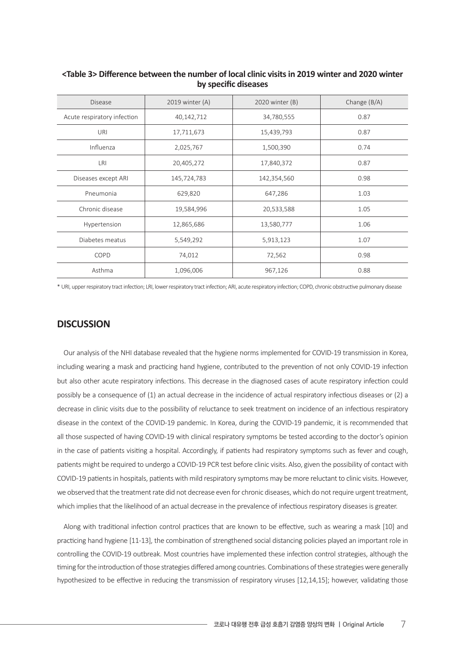| <b>Disease</b>              | 2019 winter $(A)$ | 2020 winter (B) | Change $(B/A)$ |
|-----------------------------|-------------------|-----------------|----------------|
| Acute respiratory infection | 40,142,712        | 34,780,555      | 0.87           |
| URI                         | 17,711,673        | 15,439,793      | 0.87           |
| Influenza                   | 2,025,767         | 1,500,390       | 0.74           |
| <b>LRI</b>                  | 20,405,272        | 17,840,372      | 0.87           |
| Diseases except ARI         | 145,724,783       | 142,354,560     | 0.98           |
| Pneumonia                   | 629,820           | 647,286         | 1.03           |
| Chronic disease             | 19,584,996        | 20,533,588      | 1.05           |
| Hypertension                | 12,865,686        | 13,580,777      | 1.06           |
| Diabetes meatus             | 5,549,292         | 5,913,123       | 1.07           |
| COPD                        | 74,012            | 72,562          | 0.98           |
| Asthma                      | 1,096,006         | 967,126         | 0.88           |

**<Table 3> Difference between the number of local clinic visits in 2019 winter and 2020 winter by specific diseases**

\* URI, upperrespiratory tractinfection; LRI, lowerrespiratory tractinfection; ARI, acute respiratory infection; COPD, chronic obstructive pulmonary disease

#### **DISCUSSION**

Our analysis of the NHI database revealed that the hygiene norms implemented for COVID-19 transmission in Korea, including wearing a mask and practicing hand hygiene, contributed to the prevention of not only COVID-19 infection but also other acute respiratory infections. This decrease in the diagnosed cases of acute respiratory infection could possibly be a consequence of (1) an actual decrease in the incidence of actual respiratory infectious diseases or (2) a decrease in clinic visits due to the possibility of reluctance to seek treatment on incidence of an infectious respiratory disease in the context of the COVID-19 pandemic. In Korea, during the COVID-19 pandemic, it is recommended that all those suspected of having COVID-19 with clinical respiratory symptoms be tested according to the doctor's opinion in the case of patients visiting a hospital. Accordingly, if patients had respiratory symptoms such as fever and cough, patients might be required to undergo a COVID-19 PCR test before clinic visits. Also, given the possibility of contact with COVID-19 patients in hospitals, patients with mild respiratory symptoms may be more reluctant to clinic visits. However, we observed that the treatment rate did not decrease even for chronic diseases, which do not require urgent treatment, which implies that the likelihood of an actual decrease in the prevalence of infectious respiratory diseases is greater.

Along with traditional infection control practices that are known to be effective, such as wearing a mask [10] and practicing hand hygiene [11-13], the combination of strengthened social distancing policies played an important role in controlling the COVID-19 outbreak. Most countries have implemented these infection control strategies, although the timing for the introduction of those strategies differed among countries. Combinations of these strategies were generally hypothesized to be effective in reducing the transmission of respiratory viruses [12,14,15]; however, validating those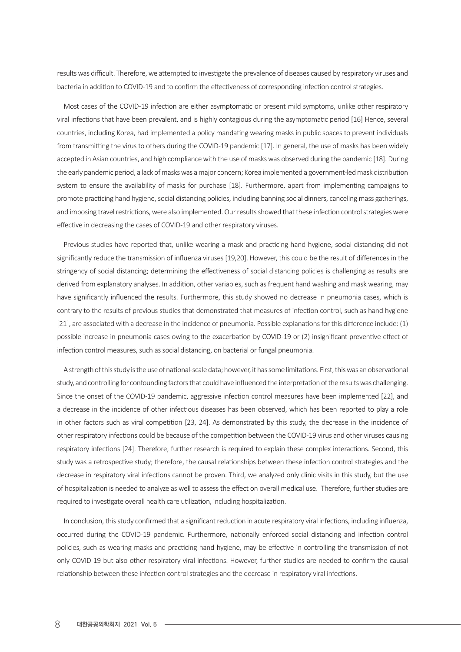results was difficult. Therefore, we attempted to investigate the prevalence of diseases caused by respiratory viruses and bacteria in addition to COVID-19 and to confirm the effectiveness of corresponding infection control strategies.

Most cases of the COVID-19 infection are either asymptomatic or present mild symptoms, unlike other respiratory viral infections that have been prevalent, and is highly contagious during the asymptomatic period [16] Hence, several countries, including Korea, had implemented a policy mandating wearing masks in public spaces to prevent individuals from transmitting the virus to others during the COVID-19 pandemic [17]. In general, the use of masks has been widely accepted in Asian countries, and high compliance with the use of masks was observed during the pandemic [18]. During the early pandemic period, a lack of masks was a major concern; Korea implemented a government-led mask distribution system to ensure the availability of masks for purchase [18]. Furthermore, apart from implementing campaigns to promote practicing hand hygiene, social distancing policies, including banning social dinners, canceling mass gatherings, and imposing travel restrictions, were also implemented. Our results showed that these infection control strategies were effective in decreasing the cases of COVID-19 and other respiratory viruses.

Previous studies have reported that, unlike wearing a mask and practicing hand hygiene, social distancing did not significantly reduce the transmission of influenza viruses [19,20]. However, this could be the result of differences in the stringency of social distancing; determining the effectiveness of social distancing policies is challenging as results are derived from explanatory analyses. In addition, other variables, such as frequent hand washing and mask wearing, may have significantly influenced the results. Furthermore, this study showed no decrease in pneumonia cases, which is contrary to the results of previous studies that demonstrated that measures of infection control, such as hand hygiene [21], are associated with a decrease in the incidence of pneumonia. Possible explanations for this difference include: (1) possible increase in pneumonia cases owing to the exacerbation by COVID-19 or (2) insignificant preventive effect of infection control measures, such as social distancing, on bacterial or fungal pneumonia.

A strength of this study is the use of national-scale data; however, it has some limitations. First, this was an observational study, and controlling for confounding factors that could have influenced the interpretation of the results was challenging. Since the onset of the COVID-19 pandemic, aggressive infection control measures have been implemented [22], and a decrease in the incidence of other infectious diseases has been observed, which has been reported to play a role in other factors such as viral competition [23, 24]. As demonstrated by this study, the decrease in the incidence of other respiratory infections could be because of the competition between the COVID-19 virus and other viruses causing respiratory infections [24]. Therefore, further research is required to explain these complex interactions. Second, this study was a retrospective study; therefore, the causal relationships between these infection control strategies and the decrease in respiratory viral infections cannot be proven. Third, we analyzed only clinic visits in this study, but the use of hospitalization is needed to analyze as well to assess the effect on overall medical use. Therefore, further studies are required to investigate overall health care utilization, including hospitalization.

In conclusion, this study confirmed that a significant reduction in acute respiratory viral infections, including influenza, occurred during the COVID-19 pandemic. Furthermore, nationally enforced social distancing and infection control policies, such as wearing masks and practicing hand hygiene, may be effective in controlling the transmission of not only COVID-19 but also other respiratory viral infections. However, further studies are needed to confirm the causal relationship between these infection control strategies and the decrease in respiratory viral infections.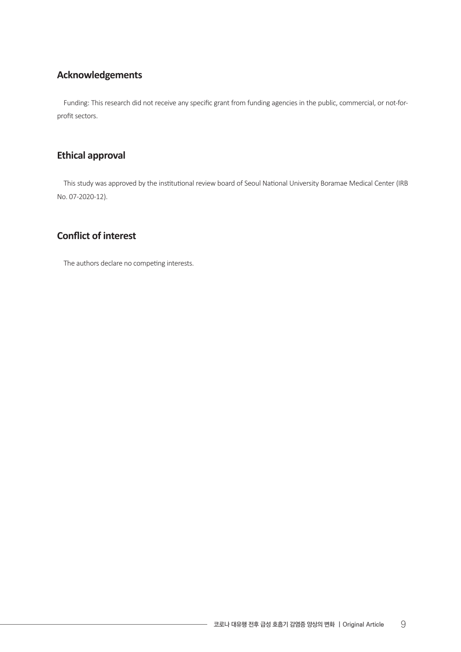# **Acknowledgements**

Funding: This research did not receive any specific grant from funding agencies in the public, commercial, or not-forprofit sectors.

### **Ethical approval**

This study was approved by the institutional review board of Seoul National University Boramae Medical Center (IRB No. 07-2020-12).

## **Conflict of interest**

The authors declare no competing interests.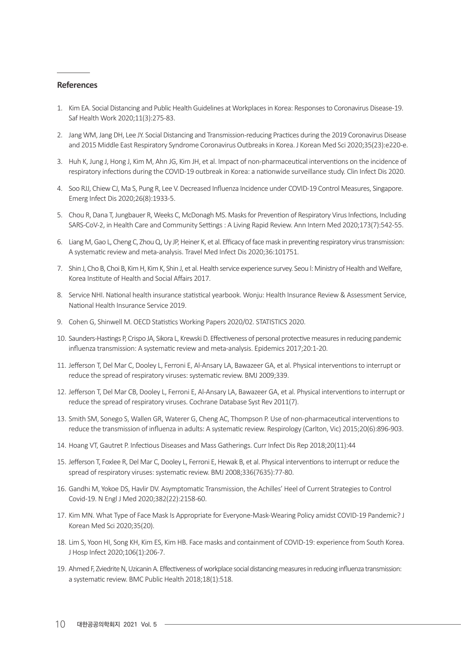#### **References**

- 1. Kim EA. Social Distancing and Public Health Guidelines at Workplaces in Korea: Responses to Coronavirus Disease-19. Saf Health Work 2020;11(3):275-83.
- 2. Jang WM, Jang DH, Lee JY. Social Distancing and Transmission-reducing Practices during the 2019 Coronavirus Disease and 2015 Middle East Respiratory Syndrome Coronavirus Outbreaksin Korea. J Korean Med Sci 2020;35(23):e220-e.
- 3. Huh K, Jung J, Hong J, Kim M, Ahn JG, Kim JH, et al. Impact of non-pharmaceutical interventions on the incidence of respiratory infections during the COVID-19 outbreak in Korea: a nationwide surveillance study. Clin Infect Dis 2020.
- 4. Soo RJJ, Chiew CJ, Ma S, Pung R, Lee V. Decreased Influenza Incidence under COVID-19 Control Measures, Singapore. Emerg Infect Dis 2020;26(8):1933-5.
- 5. Chou R, Dana T, Jungbauer R, Weeks C, McDonagh MS. Masks for Prevention of Respiratory Virus Infections, Including SARS-CoV-2, in Health Care and Community Settings: A Living Rapid Review. Ann Intern Med 2020;173(7):542-55.
- 6. Liang M, Gao L, Cheng C, Zhou Q, Uy JP, Heiner K, et al. Efficacy of face mask in preventing respiratory virus transmission: A systematic review and meta-analysis. Travel Med Infect Dis 2020;36:101751.
- 7. Shin J, Cho B, Choi B, Kim H, Kim K, Shin J, et al. Health service experience survey. Seou l: Ministry of Health and Welfare, Korea Institute of Health and Social Affairs 2017.
- 8. Service NHI. National health insurance statistical yearbook. Wonju: Health Insurance Review & Assessment Service, National Health Insurance Service 2019.
- 9. Cohen G, Shinwell M. OECD Statistics Working Papers 2020/02. STATISTICS 2020.
- 10. Saunders-Hastings P, Crispo JA, Sikora L, Krewski D. Effectiveness of personal protective measures in reducing pandemic influenza transmission: A systematic review and meta-analysis. Epidemics 2017;20:1-20.
- 11. Jefferson T, Del Mar C, Dooley L, Ferroni E, Al-Ansary LA, Bawazeer GA, et al. Physical interventions to interrupt or reduce the spread of respiratory viruses: systematic review. BMJ 2009;339.
- 12. Jefferson T, Del Mar CB, Dooley L, Ferroni E, Al-Ansary LA, Bawazeer GA, et al. Physical interventions to interrupt or reduce the spread of respiratory viruses. Cochrane Database Syst Rev 2011(7).
- 13. Smith SM, Sonego S, Wallen GR, Waterer G, Cheng AC, Thompson P. Use of non-pharmaceutical interventions to reduce the transmission of influenza in adults: A systematic review. Respirology (Carlton, Vic) 2015;20(6):896-903.
- 14. Hoang VT, Gautret P. Infectious Diseases and Mass Gatherings. Curr Infect Dis Rep 2018;20(11):44
- 15. Jefferson T, Foxlee R, Del Mar C, Dooley L, Ferroni E, Hewak B, et al. Physical interventions to interrupt or reduce the spread of respiratory viruses: systematic review. BMJ 2008;336(7635):77-80.
- 16. Gandhi M, Yokoe DS, Havlir DV. Asymptomatic Transmission, the Achilles' Heel of Current Strategies to Control Covid-19. N Engl J Med 2020;382(22):2158-60.
- 17. Kim MN. What Type of Face Mask Is Appropriate for Everyone-Mask-Wearing Policy amidst COVID-19 Pandemic? J Korean Med Sci 2020;35(20).
- 18. Lim S, Yoon HI, Song KH, Kim ES, Kim HB. Face masks and containment of COVID-19: experience from South Korea. J Hosp Infect 2020;106(1):206-7.
- 19. Ahmed F, Zviedrite N, Uzicanin A. Effectiveness of workplace social distancing measures in reducing influenza transmission: a systematic review. BMC Public Health 2018;18(1):518.